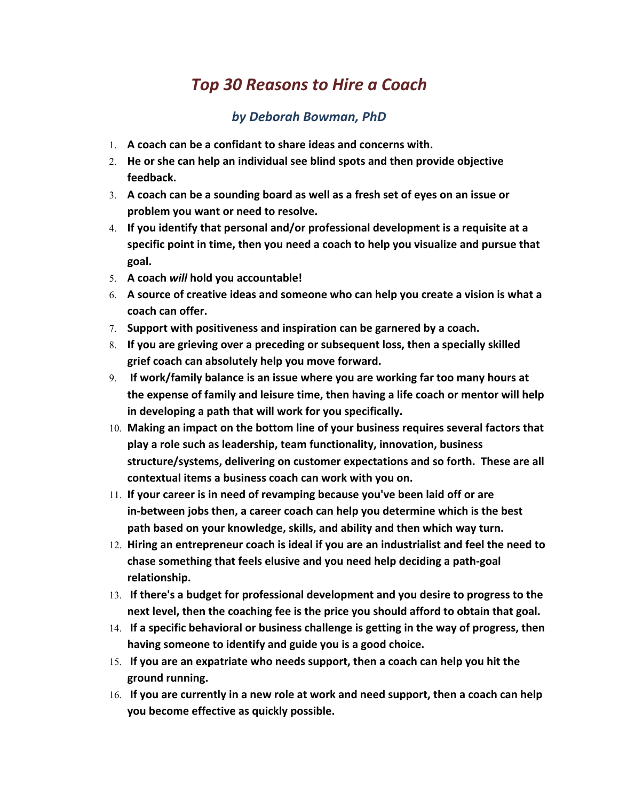## *Top 30 Reasons to Hire a Coach*

## *by Deborah Bowman, PhD*

- 1. **A coach can be a confidant to share ideas and concerns with.**
- 2. **He or she can help an individual see blind spots and then provide objective feedback.**
- 3. **A coach can be a sounding board as well as a fresh set of eyes on an issue or problem you want or need to resolve.**
- 4. **If you identify that personal and/or professional development is a requisite at a specific point in time, then you need a coach to help you visualize and pursue that goal.**
- 5. **A coach** *will* **hold you accountable!**
- 6. **A source of creative ideas and someone who can help you create a vision is what a coach can offer.**
- 7. **Support with positiveness and inspiration can be garnered by a coach.**
- 8. **If you are grieving over a preceding or subsequent loss, then a specially skilled grief coach can absolutely help you move forward.**
- 9. **If work/family balance is an issue where you are working far too many hours at the expense of family and leisure time, then having a life coach or mentor will help in developing a path that will work for you specifically.**
- 10. **Making an impact on the bottom line of your business requires several factors that play a role such as leadership, team functionality, innovation, business structure/systems, delivering on customer expectations and so forth. These are all contextual items a business coach can work with you on.**
- 11. **If your career is in need of revamping because you've been laid off or are in-between jobs then, a career coach can help you determine which is the best path based on your knowledge, skills, and ability and then which way turn.**
- 12. **Hiring an entrepreneur coach is ideal if you are an industrialist and feel the need to chase something that feels elusive and you need help deciding a path-goal relationship.**
- 13. **If there's a budget for professional development and you desire to progress to the next level, then the coaching fee is the price you should afford to obtain that goal.**
- 14. **If a specific behavioral or business challenge is getting in the way of progress, then having someone to identify and guide you is a good choice.**
- 15. **If you are an expatriate who needs support, then a coach can help you hit the ground running.**
- 16. **If you are currently in a new role at work and need support, then a coach can help you become effective as quickly possible.**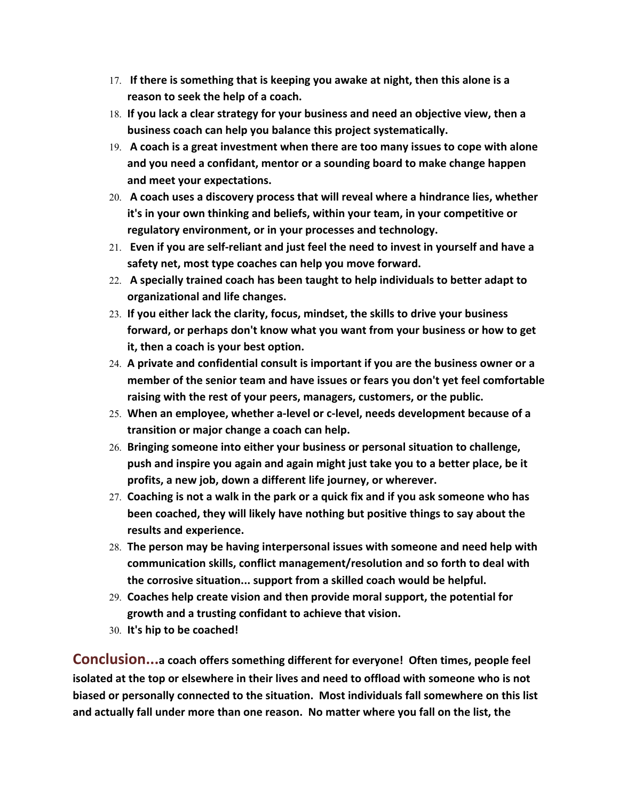- 17. **If there is something that is keeping you awake at night, then this alone is a reason to seek the help of a coach.**
- 18. **If you lack a clear strategy for your business and need an objective view, then a business coach can help you balance this project systematically.**
- 19. **A coach is a great investment when there are too many issues to cope with alone and you need a confidant, mentor or a sounding board to make change happen and meet your expectations.**
- 20. **A coach uses a discovery process that will reveal where a hindrance lies, whether it's in your own thinking and beliefs, within your team, in your competitive or regulatory environment, or in your processes and technology.**
- 21. **Even if you are self-reliant and just feel the need to invest in yourself and have a safety net, most type coaches can help you move forward.**
- 22. **A specially trained coach has been taught to help individuals to better adapt to organizational and life changes.**
- 23. **If you either lack the clarity, focus, mindset, the skills to drive your business forward, or perhaps don't know what you want from your business or how to get it, then a coach is your best option.**
- 24. **A private and confidential consult is important if you are the business owner or a member of the senior team and have issues or fears you don't yet feel comfortable raising with the rest of your peers, managers, customers, or the public.**
- 25. **When an employee, whether a-level or c-level, needs development because of a transition or major change a coach can help.**
- 26. **Bringing someone into either your business or personal situation to challenge, push and inspire you again and again might just take you to a better place, be it profits, a new job, down a different life journey, or wherever.**
- 27. **Coaching is not a walk in the park or a quick fix and if you ask someone who has been coached, they will likely have nothing but positive things to say about the results and experience.**
- 28. **The person may be having interpersonal issues with someone and need help with communication skills, conflict management/resolution and so forth to deal with the corrosive situation... support from a skilled coach would be helpful.**
- 29. **Coaches help create vision and then provide moral support, the potential for growth and a trusting confidant to achieve that vision.**
- 30. **It's hip to be coached!**

**Conclusion...a coach offers something different for everyone! Often times, people feel isolated at the top or elsewhere in their lives and need to offload with someone who is not biased or personally connected to the situation. Most individuals fall somewhere on this list and actually fall under more than one reason. No matter where you fall on the list, the**